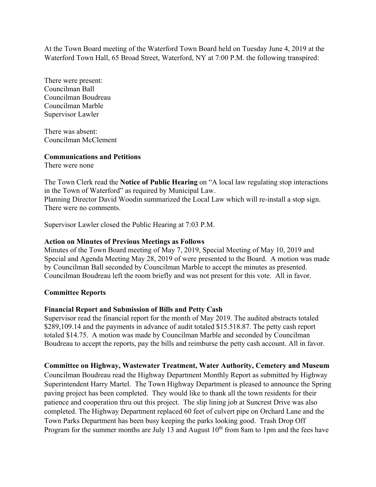At the Town Board meeting of the Waterford Town Board held on Tuesday June 4, 2019 at the Waterford Town Hall, 65 Broad Street, Waterford, NY at 7:00 P.M. the following transpired:

There were present: Councilman Ball Councilman Boudreau Councilman Marble Supervisor Lawler

There was absent: Councilman McClement

### **Communications and Petitions**

There were none

The Town Clerk read the **Notice of Public Hearing** on "A local law regulating stop interactions in the Town of Waterford" as required by Municipal Law. Planning Director David Woodin summarized the Local Law which will re-install a stop sign. There were no comments.

Supervisor Lawler closed the Public Hearing at 7:03 P.M.

# **Action on Minutes of Previous Meetings as Follows**

Minutes of the Town Board meeting of May 7, 2019, Special Meeting of May 10, 2019 and Special and Agenda Meeting May 28, 2019 of were presented to the Board. A motion was made by Councilman Ball seconded by Councilman Marble to accept the minutes as presented. Councilman Boudreau left the room briefly and was not present for this vote. All in favor.

# **Committee Reports**

# **Financial Report and Submission of Bills and Petty Cash**

Supervisor read the financial report for the month of May 2019. The audited abstracts totaled \$289,109.14 and the payments in advance of audit totaled \$15.518.87. The petty cash report totaled \$14.75. A motion was made by Councilman Marble and seconded by Councilman Boudreau to accept the reports, pay the bills and reimburse the petty cash account. All in favor.

# **Committee on Highway, Wastewater Treatment, Water Authority, Cemetery and Museum**

Councilman Boudreau read the Highway Department Monthly Report as submitted by Highway Superintendent Harry Martel. The Town Highway Department is pleased to announce the Spring paving project has been completed. They would like to thank all the town residents for their patience and cooperation thru out this project. The slip lining job at Suncrest Drive was also completed. The Highway Department replaced 60 feet of culvert pipe on Orchard Lane and the Town Parks Department has been busy keeping the parks looking good. Trash Drop Off Program for the summer months are July 13 and August  $10<sup>th</sup>$  from 8am to 1pm and the fees have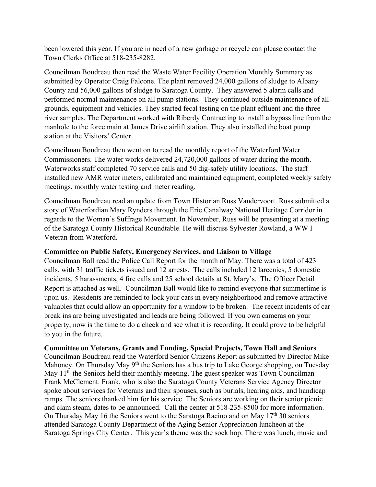been lowered this year. If you are in need of a new garbage or recycle can please contact the Town Clerks Office at 518-235-8282.

Councilman Boudreau then read the Waste Water Facility Operation Monthly Summary as submitted by Operator Craig Falcone. The plant removed 24,000 gallons of sludge to Albany County and 56,000 gallons of sludge to Saratoga County. They answered 5 alarm calls and performed normal maintenance on all pump stations. They continued outside maintenance of all grounds, equipment and vehicles. They started fecal testing on the plant effluent and the three river samples. The Department worked with Riberdy Contracting to install a bypass line from the manhole to the force main at James Drive airlift station. They also installed the boat pump station at the Visitors' Center.

Councilman Boudreau then went on to read the monthly report of the Waterford Water Commissioners. The water works delivered 24,720,000 gallons of water during the month. Waterworks staff completed 70 service calls and 50 dig-safely utility locations. The staff installed new AMR water meters, calibrated and maintained equipment, completed weekly safety meetings, monthly water testing and meter reading.

Councilman Boudreau read an update from Town Historian Russ Vandervoort. Russ submitted a story of Waterfordian Mary Rynders through the Erie Canalway National Heritage Corridor in regards to the Woman's Suffrage Movement. In November, Russ will be presenting at a meeting of the Saratoga County Historical Roundtable. He will discuss Sylvester Rowland, a WW I Veteran from Waterford.

### **Committee on Public Safety, Emergency Services, and Liaison to Village**

Councilman Ball read the Police Call Report for the month of May. There was a total of 423 calls, with 31 traffic tickets issued and 12 arrests. The calls included 12 larcenies, 5 domestic incidents, 5 harassments, 4 fire calls and 25 school details at St. Mary's. The Officer Detail Report is attached as well. Councilman Ball would like to remind everyone that summertime is upon us. Residents are reminded to lock your cars in every neighborhood and remove attractive valuables that could allow an opportunity for a window to be broken. The recent incidents of car break ins are being investigated and leads are being followed. If you own cameras on your property, now is the time to do a check and see what it is recording. It could prove to be helpful to you in the future.

### **Committee on Veterans, Grants and Funding, Special Projects, Town Hall and Seniors**

Councilman Boudreau read the Waterford Senior Citizens Report as submitted by Director Mike Mahoney. On Thursday May 9<sup>th</sup> the Seniors has a bus trip to Lake George shopping, on Tuesday May  $11<sup>th</sup>$  the Seniors held their monthly meeting. The guest speaker was Town Councilman Frank McClement. Frank, who is also the Saratoga County Veterans Service Agency Director spoke about services for Veterans and their spouses, such as burials, hearing aids, and handicap ramps. The seniors thanked him for his service. The Seniors are working on their senior picnic and clam steam, dates to be announced. Call the center at 518-235-8500 for more information. On Thursday May 16 the Seniors went to the Saratoga Racino and on May 17<sup>th</sup> 30 seniors attended Saratoga County Department of the Aging Senior Appreciation luncheon at the Saratoga Springs City Center. This year's theme was the sock hop. There was lunch, music and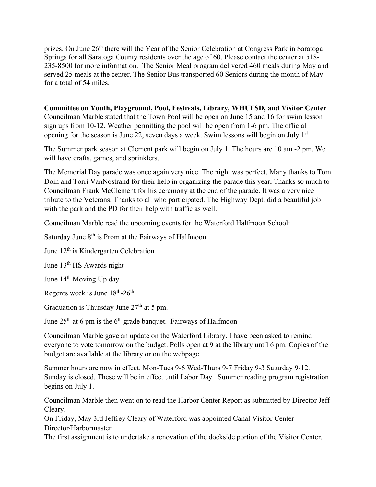prizes. On June 26<sup>th</sup> there will the Year of the Senior Celebration at Congress Park in Saratoga Springs for all Saratoga County residents over the age of 60. Please contact the center at 518- 235-8500 for more information. The Senior Meal program delivered 460 meals during May and served 25 meals at the center. The Senior Bus transported 60 Seniors during the month of May for a total of 54 miles.

**Committee on Youth, Playground, Pool, Festivals, Library, WHUFSD, and Visitor Center**  Councilman Marble stated that the Town Pool will be open on June 15 and 16 for swim lesson sign ups from 10-12. Weather permitting the pool will be open from 1-6 pm. The official opening for the season is June 22, seven days a week. Swim lessons will begin on July 1<sup>st</sup>.

The Summer park season at Clement park will begin on July 1. The hours are 10 am -2 pm. We will have crafts, games, and sprinklers.

The Memorial Day parade was once again very nice. The night was perfect. Many thanks to Tom Doin and Torri VanNostrand for their help in organizing the parade this year, Thanks so much to Councilman Frank McClement for his ceremony at the end of the parade. It was a very nice tribute to the Veterans. Thanks to all who participated. The Highway Dept. did a beautiful job with the park and the PD for their help with traffic as well.

Councilman Marble read the upcoming events for the Waterford Halfmoon School:

Saturday June 8<sup>th</sup> is Prom at the Fairways of Halfmoon.

June  $12<sup>th</sup>$  is Kindergarten Celebration

June 13<sup>th</sup> HS Awards night

June 14<sup>th</sup> Moving Up day

Regents week is June  $18^{th}$ - $26^{th}$ 

Graduation is Thursday June  $27<sup>th</sup>$  at 5 pm.

June  $25<sup>th</sup>$  at 6 pm is the 6<sup>th</sup> grade banquet. Fairways of Halfmoon

Councilman Marble gave an update on the Waterford Library. I have been asked to remind everyone to vote tomorrow on the budget. Polls open at 9 at the library until 6 pm. Copies of the budget are available at the library or on the webpage.

Summer hours are now in effect. Mon-Tues 9-6 Wed-Thurs 9-7 Friday 9-3 Saturday 9-12. Sunday is closed. These will be in effect until Labor Day. Summer reading program registration begins on July 1.

Councilman Marble then went on to read the Harbor Center Report as submitted by Director Jeff Cleary.

On Friday, May 3rd Jeffrey Cleary of Waterford was appointed Canal Visitor Center Director/Harbormaster.

The first assignment is to undertake a renovation of the dockside portion of the Visitor Center.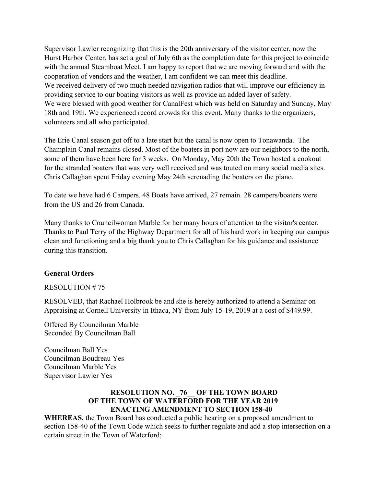Supervisor Lawler recognizing that this is the 20th anniversary of the visitor center, now the Hurst Harbor Center, has set a goal of July 6th as the completion date for this project to coincide with the annual Steamboat Meet. I am happy to report that we are moving forward and with the cooperation of vendors and the weather, I am confident we can meet this deadline. We received delivery of two much needed navigation radios that will improve our efficiency in providing service to our boating visitors as well as provide an added layer of safety. We were blessed with good weather for CanalFest which was held on Saturday and Sunday, May 18th and 19th. We experienced record crowds for this event. Many thanks to the organizers, volunteers and all who participated.

The Erie Canal season got off to a late start but the canal is now open to Tonawanda. The Champlain Canal remains closed. Most of the boaters in port now are our neighbors to the north, some of them have been here for 3 weeks. On Monday, May 20th the Town hosted a cookout for the stranded boaters that was very well received and was touted on many social media sites. Chris Callaghan spent Friday evening May 24th serenading the boaters on the piano.

To date we have had 6 Campers. 48 Boats have arrived, 27 remain. 28 campers/boaters were from the US and 26 from Canada.

Many thanks to Councilwoman Marble for her many hours of attention to the visitor's center. Thanks to Paul Terry of the Highway Department for all of his hard work in keeping our campus clean and functioning and a big thank you to Chris Callaghan for his guidance and assistance during this transition.

### **General Orders**

### RESOLUTION # 75

RESOLVED, that Rachael Holbrook be and she is hereby authorized to attend a Seminar on Appraising at Cornell University in Ithaca, NY from July 15-19, 2019 at a cost of \$449.99.

Offered By Councilman Marble Seconded By Councilman Ball

Councilman Ball Yes Councilman Boudreau Yes Councilman Marble Yes Supervisor Lawler Yes

# **RESOLUTION NO. \_76\_\_ OF THE TOWN BOARD OF THE TOWN OF WATERFORD FOR THE YEAR 2019 ENACTING AMENDMENT TO SECTION 158-40**

**WHEREAS,** the Town Board has conducted a public hearing on a proposed amendment to section 158-40 of the Town Code which seeks to further regulate and add a stop intersection on a certain street in the Town of Waterford;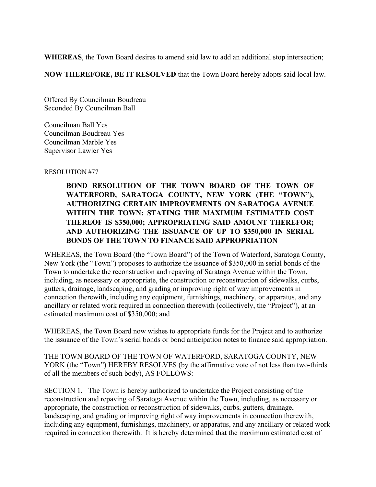**WHEREAS**, the Town Board desires to amend said law to add an additional stop intersection;

**NOW THEREFORE, BE IT RESOLVED** that the Town Board hereby adopts said local law.

Offered By Councilman Boudreau Seconded By Councilman Ball

Councilman Ball Yes Councilman Boudreau Yes Councilman Marble Yes Supervisor Lawler Yes

RESOLUTION #77

# **BOND RESOLUTION OF THE TOWN BOARD OF THE TOWN OF WATERFORD, SARATOGA COUNTY, NEW YORK (THE "TOWN"), AUTHORIZING CERTAIN IMPROVEMENTS ON SARATOGA AVENUE WITHIN THE TOWN; STATING THE MAXIMUM ESTIMATED COST THEREOF IS \$350,000; APPROPRIATING SAID AMOUNT THEREFOR; AND AUTHORIZING THE ISSUANCE OF UP TO \$350,000 IN SERIAL BONDS OF THE TOWN TO FINANCE SAID APPROPRIATION**

WHEREAS, the Town Board (the "Town Board") of the Town of Waterford, Saratoga County, New York (the "Town") proposes to authorize the issuance of \$350,000 in serial bonds of the Town to undertake the reconstruction and repaving of Saratoga Avenue within the Town, including, as necessary or appropriate, the construction or reconstruction of sidewalks, curbs, gutters, drainage, landscaping, and grading or improving right of way improvements in connection therewith, including any equipment, furnishings, machinery, or apparatus, and any ancillary or related work required in connection therewith (collectively, the "Project"), at an estimated maximum cost of \$350,000; and

WHEREAS, the Town Board now wishes to appropriate funds for the Project and to authorize the issuance of the Town's serial bonds or bond anticipation notes to finance said appropriation.

THE TOWN BOARD OF THE TOWN OF WATERFORD, SARATOGA COUNTY, NEW YORK (the "Town") HEREBY RESOLVES (by the affirmative vote of not less than two-thirds of all the members of such body), AS FOLLOWS:

SECTION 1. The Town is hereby authorized to undertake the Project consisting of the reconstruction and repaving of Saratoga Avenue within the Town, including, as necessary or appropriate, the construction or reconstruction of sidewalks, curbs, gutters, drainage, landscaping, and grading or improving right of way improvements in connection therewith, including any equipment, furnishings, machinery, or apparatus, and any ancillary or related work required in connection therewith. It is hereby determined that the maximum estimated cost of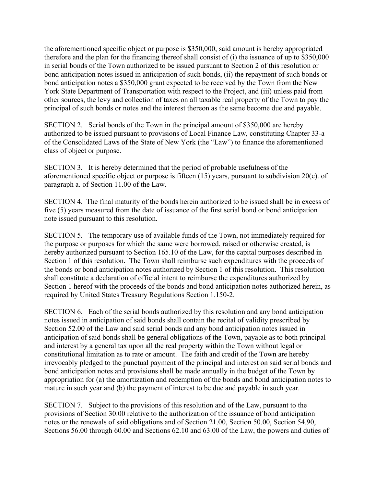the aforementioned specific object or purpose is \$350,000, said amount is hereby appropriated therefore and the plan for the financing thereof shall consist of (i) the issuance of up to \$350,000 in serial bonds of the Town authorized to be issued pursuant to Section 2 of this resolution or bond anticipation notes issued in anticipation of such bonds, (ii) the repayment of such bonds or bond anticipation notes a \$350,000 grant expected to be received by the Town from the New York State Department of Transportation with respect to the Project, and (iii) unless paid from other sources, the levy and collection of taxes on all taxable real property of the Town to pay the principal of such bonds or notes and the interest thereon as the same become due and payable.

SECTION 2. Serial bonds of the Town in the principal amount of \$350,000 are hereby authorized to be issued pursuant to provisions of Local Finance Law, constituting Chapter 33-a of the Consolidated Laws of the State of New York (the "Law") to finance the aforementioned class of object or purpose.

SECTION 3. It is hereby determined that the period of probable usefulness of the aforementioned specific object or purpose is fifteen (15) years, pursuant to subdivision 20(c). of paragraph a. of Section 11.00 of the Law.

SECTION 4. The final maturity of the bonds herein authorized to be issued shall be in excess of five (5) years measured from the date of issuance of the first serial bond or bond anticipation note issued pursuant to this resolution.

SECTION 5. The temporary use of available funds of the Town, not immediately required for the purpose or purposes for which the same were borrowed, raised or otherwise created, is hereby authorized pursuant to Section 165.10 of the Law, for the capital purposes described in Section 1 of this resolution. The Town shall reimburse such expenditures with the proceeds of the bonds or bond anticipation notes authorized by Section 1 of this resolution. This resolution shall constitute a declaration of official intent to reimburse the expenditures authorized by Section 1 hereof with the proceeds of the bonds and bond anticipation notes authorized herein, as required by United States Treasury Regulations Section 1.150-2.

SECTION 6. Each of the serial bonds authorized by this resolution and any bond anticipation notes issued in anticipation of said bonds shall contain the recital of validity prescribed by Section 52.00 of the Law and said serial bonds and any bond anticipation notes issued in anticipation of said bonds shall be general obligations of the Town, payable as to both principal and interest by a general tax upon all the real property within the Town without legal or constitutional limitation as to rate or amount. The faith and credit of the Town are hereby irrevocably pledged to the punctual payment of the principal and interest on said serial bonds and bond anticipation notes and provisions shall be made annually in the budget of the Town by appropriation for (a) the amortization and redemption of the bonds and bond anticipation notes to mature in such year and (b) the payment of interest to be due and payable in such year.

SECTION 7. Subject to the provisions of this resolution and of the Law, pursuant to the provisions of Section 30.00 relative to the authorization of the issuance of bond anticipation notes or the renewals of said obligations and of Section 21.00, Section 50.00, Section 54.90, Sections 56.00 through 60.00 and Sections 62.10 and 63.00 of the Law, the powers and duties of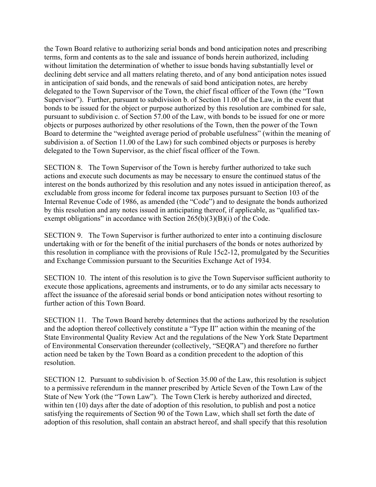the Town Board relative to authorizing serial bonds and bond anticipation notes and prescribing terms, form and contents as to the sale and issuance of bonds herein authorized, including without limitation the determination of whether to issue bonds having substantially level or declining debt service and all matters relating thereto, and of any bond anticipation notes issued in anticipation of said bonds, and the renewals of said bond anticipation notes, are hereby delegated to the Town Supervisor of the Town, the chief fiscal officer of the Town (the "Town Supervisor"). Further, pursuant to subdivision b. of Section 11.00 of the Law, in the event that bonds to be issued for the object or purpose authorized by this resolution are combined for sale, pursuant to subdivision c. of Section 57.00 of the Law, with bonds to be issued for one or more objects or purposes authorized by other resolutions of the Town, then the power of the Town Board to determine the "weighted average period of probable usefulness" (within the meaning of subdivision a. of Section 11.00 of the Law) for such combined objects or purposes is hereby delegated to the Town Supervisor, as the chief fiscal officer of the Town.

SECTION 8. The Town Supervisor of the Town is hereby further authorized to take such actions and execute such documents as may be necessary to ensure the continued status of the interest on the bonds authorized by this resolution and any notes issued in anticipation thereof, as excludable from gross income for federal income tax purposes pursuant to Section 103 of the Internal Revenue Code of 1986, as amended (the "Code") and to designate the bonds authorized by this resolution and any notes issued in anticipating thereof, if applicable, as "qualified taxexempt obligations" in accordance with Section  $265(b)(3)(B)(i)$  of the Code.

SECTION 9. The Town Supervisor is further authorized to enter into a continuing disclosure undertaking with or for the benefit of the initial purchasers of the bonds or notes authorized by this resolution in compliance with the provisions of Rule 15c2-12, promulgated by the Securities and Exchange Commission pursuant to the Securities Exchange Act of 1934.

SECTION 10. The intent of this resolution is to give the Town Supervisor sufficient authority to execute those applications, agreements and instruments, or to do any similar acts necessary to affect the issuance of the aforesaid serial bonds or bond anticipation notes without resorting to further action of this Town Board.

SECTION 11. The Town Board hereby determines that the actions authorized by the resolution and the adoption thereof collectively constitute a "Type II" action within the meaning of the State Environmental Quality Review Act and the regulations of the New York State Department of Environmental Conservation thereunder (collectively, "SEQRA") and therefore no further action need be taken by the Town Board as a condition precedent to the adoption of this resolution.

SECTION 12. Pursuant to subdivision b. of Section 35.00 of the Law, this resolution is subject to a permissive referendum in the manner prescribed by Article Seven of the Town Law of the State of New York (the "Town Law"). The Town Clerk is hereby authorized and directed, within ten (10) days after the date of adoption of this resolution, to publish and post a notice satisfying the requirements of Section 90 of the Town Law, which shall set forth the date of adoption of this resolution, shall contain an abstract hereof, and shall specify that this resolution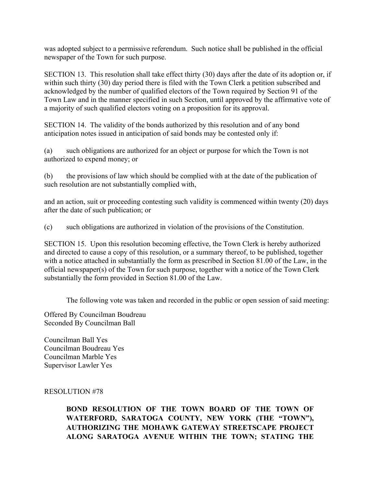was adopted subject to a permissive referendum. Such notice shall be published in the official newspaper of the Town for such purpose.

SECTION 13. This resolution shall take effect thirty (30) days after the date of its adoption or, if within such thirty (30) day period there is filed with the Town Clerk a petition subscribed and acknowledged by the number of qualified electors of the Town required by Section 91 of the Town Law and in the manner specified in such Section, until approved by the affirmative vote of a majority of such qualified electors voting on a proposition for its approval.

SECTION 14. The validity of the bonds authorized by this resolution and of any bond anticipation notes issued in anticipation of said bonds may be contested only if:

(a) such obligations are authorized for an object or purpose for which the Town is not authorized to expend money; or

(b) the provisions of law which should be complied with at the date of the publication of such resolution are not substantially complied with,

and an action, suit or proceeding contesting such validity is commenced within twenty (20) days after the date of such publication; or

(c) such obligations are authorized in violation of the provisions of the Constitution.

SECTION 15. Upon this resolution becoming effective, the Town Clerk is hereby authorized and directed to cause a copy of this resolution, or a summary thereof, to be published, together with a notice attached in substantially the form as prescribed in Section 81.00 of the Law, in the official newspaper(s) of the Town for such purpose, together with a notice of the Town Clerk substantially the form provided in Section 81.00 of the Law.

The following vote was taken and recorded in the public or open session of said meeting:

Offered By Councilman Boudreau Seconded By Councilman Ball

Councilman Ball Yes Councilman Boudreau Yes Councilman Marble Yes Supervisor Lawler Yes

### RESOLUTION #78

**BOND RESOLUTION OF THE TOWN BOARD OF THE TOWN OF WATERFORD, SARATOGA COUNTY, NEW YORK (THE "TOWN"), AUTHORIZING THE MOHAWK GATEWAY STREETSCAPE PROJECT ALONG SARATOGA AVENUE WITHIN THE TOWN; STATING THE**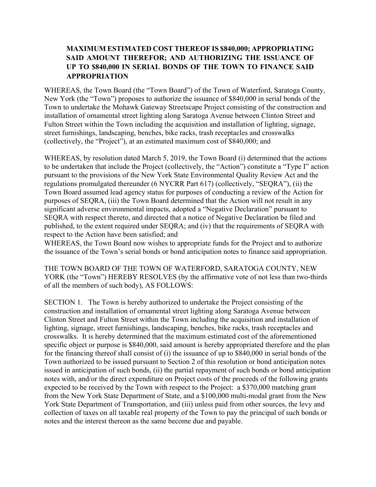# **MAXIMUM ESTIMATED COST THEREOF IS \$840,000; APPROPRIATING SAID AMOUNT THEREFOR; AND AUTHORIZING THE ISSUANCE OF UP TO \$840,000 IN SERIAL BONDS OF THE TOWN TO FINANCE SAID APPROPRIATION**

WHEREAS, the Town Board (the "Town Board") of the Town of Waterford, Saratoga County, New York (the "Town") proposes to authorize the issuance of \$840,000 in serial bonds of the Town to undertake the Mohawk Gateway Streetscape Project consisting of the construction and installation of ornamental street lighting along Saratoga Avenue between Clinton Street and Fulton Street within the Town including the acquisition and installation of lighting, signage, street furnishings, landscaping, benches, bike racks, trash receptacles and crosswalks (collectively, the "Project"), at an estimated maximum cost of \$840,000; and

WHEREAS, by resolution dated March 5, 2019, the Town Board (i) determined that the actions to be undertaken that include the Project (collectively, the "Action") constitute a "Type I" action pursuant to the provisions of the New York State Environmental Quality Review Act and the regulations promulgated thereunder (6 NYCRR Part 617) (collectively, "SEQRA"), (ii) the Town Board assumed lead agency status for purposes of conducting a review of the Action for purposes of SEQRA, (iii) the Town Board determined that the Action will not result in any significant adverse environmental impacts, adopted a "Negative Declaration" pursuant to SEQRA with respect thereto, and directed that a notice of Negative Declaration be filed and published, to the extent required under SEQRA; and (iv) that the requirements of SEQRA with respect to the Action have been satisfied; and

WHEREAS, the Town Board now wishes to appropriate funds for the Project and to authorize the issuance of the Town's serial bonds or bond anticipation notes to finance said appropriation.

THE TOWN BOARD OF THE TOWN OF WATERFORD, SARATOGA COUNTY, NEW YORK (the "Town") HEREBY RESOLVES (by the affirmative vote of not less than two-thirds of all the members of such body), AS FOLLOWS:

SECTION 1. The Town is hereby authorized to undertake the Project consisting of the construction and installation of ornamental street lighting along Saratoga Avenue between Clinton Street and Fulton Street within the Town including the acquisition and installation of lighting, signage, street furnishings, landscaping, benches, bike racks, trash receptacles and crosswalks. It is hereby determined that the maximum estimated cost of the aforementioned specific object or purpose is \$840,000, said amount is hereby appropriated therefore and the plan for the financing thereof shall consist of (i) the issuance of up to \$840,000 in serial bonds of the Town authorized to be issued pursuant to Section 2 of this resolution or bond anticipation notes issued in anticipation of such bonds, (ii) the partial repayment of such bonds or bond anticipation notes with, and/or the direct expenditure on Project costs of the proceeds of the following grants expected to be received by the Town with respect to the Project: a \$370,000 matching grant from the New York State Department of State, and a \$100,000 multi-modal grant from the New York State Department of Transportation, and (iii) unless paid from other sources, the levy and collection of taxes on all taxable real property of the Town to pay the principal of such bonds or notes and the interest thereon as the same become due and payable.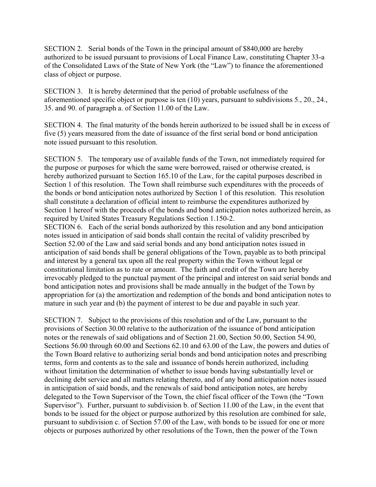SECTION 2. Serial bonds of the Town in the principal amount of \$840,000 are hereby authorized to be issued pursuant to provisions of Local Finance Law, constituting Chapter 33-a of the Consolidated Laws of the State of New York (the "Law") to finance the aforementioned class of object or purpose.

SECTION 3. It is hereby determined that the period of probable usefulness of the aforementioned specific object or purpose is ten (10) years, pursuant to subdivisions 5., 20., 24., 35. and 90. of paragraph a. of Section 11.00 of the Law.

SECTION 4. The final maturity of the bonds herein authorized to be issued shall be in excess of five (5) years measured from the date of issuance of the first serial bond or bond anticipation note issued pursuant to this resolution.

SECTION 5. The temporary use of available funds of the Town, not immediately required for the purpose or purposes for which the same were borrowed, raised or otherwise created, is hereby authorized pursuant to Section 165.10 of the Law, for the capital purposes described in Section 1 of this resolution. The Town shall reimburse such expenditures with the proceeds of the bonds or bond anticipation notes authorized by Section 1 of this resolution. This resolution shall constitute a declaration of official intent to reimburse the expenditures authorized by Section 1 hereof with the proceeds of the bonds and bond anticipation notes authorized herein, as required by United States Treasury Regulations Section 1.150-2.

SECTION 6. Each of the serial bonds authorized by this resolution and any bond anticipation notes issued in anticipation of said bonds shall contain the recital of validity prescribed by Section 52.00 of the Law and said serial bonds and any bond anticipation notes issued in anticipation of said bonds shall be general obligations of the Town, payable as to both principal and interest by a general tax upon all the real property within the Town without legal or constitutional limitation as to rate or amount. The faith and credit of the Town are hereby irrevocably pledged to the punctual payment of the principal and interest on said serial bonds and bond anticipation notes and provisions shall be made annually in the budget of the Town by appropriation for (a) the amortization and redemption of the bonds and bond anticipation notes to mature in such year and (b) the payment of interest to be due and payable in such year.

SECTION 7. Subject to the provisions of this resolution and of the Law, pursuant to the provisions of Section 30.00 relative to the authorization of the issuance of bond anticipation notes or the renewals of said obligations and of Section 21.00, Section 50.00, Section 54.90, Sections 56.00 through 60.00 and Sections 62.10 and 63.00 of the Law, the powers and duties of the Town Board relative to authorizing serial bonds and bond anticipation notes and prescribing terms, form and contents as to the sale and issuance of bonds herein authorized, including without limitation the determination of whether to issue bonds having substantially level or declining debt service and all matters relating thereto, and of any bond anticipation notes issued in anticipation of said bonds, and the renewals of said bond anticipation notes, are hereby delegated to the Town Supervisor of the Town, the chief fiscal officer of the Town (the "Town Supervisor"). Further, pursuant to subdivision b. of Section 11.00 of the Law, in the event that bonds to be issued for the object or purpose authorized by this resolution are combined for sale, pursuant to subdivision c. of Section 57.00 of the Law, with bonds to be issued for one or more objects or purposes authorized by other resolutions of the Town, then the power of the Town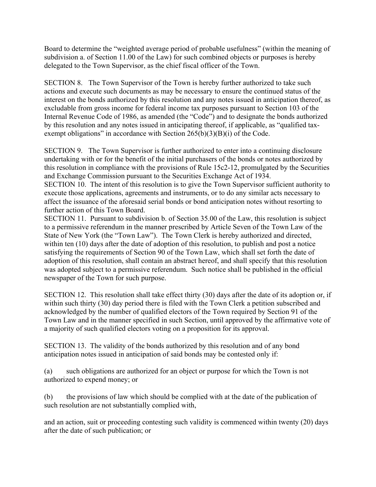Board to determine the "weighted average period of probable usefulness" (within the meaning of subdivision a. of Section 11.00 of the Law) for such combined objects or purposes is hereby delegated to the Town Supervisor, as the chief fiscal officer of the Town.

SECTION 8. The Town Supervisor of the Town is hereby further authorized to take such actions and execute such documents as may be necessary to ensure the continued status of the interest on the bonds authorized by this resolution and any notes issued in anticipation thereof, as excludable from gross income for federal income tax purposes pursuant to Section 103 of the Internal Revenue Code of 1986, as amended (the "Code") and to designate the bonds authorized by this resolution and any notes issued in anticipating thereof, if applicable, as "qualified taxexempt obligations" in accordance with Section  $265(b)(3)(B)(i)$  of the Code.

SECTION 9. The Town Supervisor is further authorized to enter into a continuing disclosure undertaking with or for the benefit of the initial purchasers of the bonds or notes authorized by this resolution in compliance with the provisions of Rule 15c2-12, promulgated by the Securities and Exchange Commission pursuant to the Securities Exchange Act of 1934.

SECTION 10. The intent of this resolution is to give the Town Supervisor sufficient authority to execute those applications, agreements and instruments, or to do any similar acts necessary to affect the issuance of the aforesaid serial bonds or bond anticipation notes without resorting to further action of this Town Board.

SECTION 11. Pursuant to subdivision b. of Section 35.00 of the Law, this resolution is subject to a permissive referendum in the manner prescribed by Article Seven of the Town Law of the State of New York (the "Town Law"). The Town Clerk is hereby authorized and directed, within ten (10) days after the date of adoption of this resolution, to publish and post a notice satisfying the requirements of Section 90 of the Town Law, which shall set forth the date of adoption of this resolution, shall contain an abstract hereof, and shall specify that this resolution was adopted subject to a permissive referendum. Such notice shall be published in the official newspaper of the Town for such purpose.

SECTION 12. This resolution shall take effect thirty (30) days after the date of its adoption or, if within such thirty (30) day period there is filed with the Town Clerk a petition subscribed and acknowledged by the number of qualified electors of the Town required by Section 91 of the Town Law and in the manner specified in such Section, until approved by the affirmative vote of a majority of such qualified electors voting on a proposition for its approval.

SECTION 13. The validity of the bonds authorized by this resolution and of any bond anticipation notes issued in anticipation of said bonds may be contested only if:

(a) such obligations are authorized for an object or purpose for which the Town is not authorized to expend money; or

(b) the provisions of law which should be complied with at the date of the publication of such resolution are not substantially complied with,

and an action, suit or proceeding contesting such validity is commenced within twenty (20) days after the date of such publication; or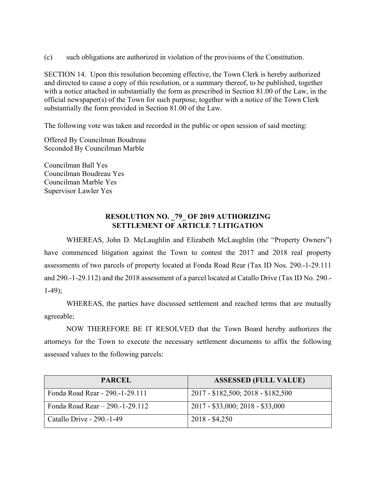(c) such obligations are authorized in violation of the provisions of the Constitution.

SECTION 14. Upon this resolution becoming effective, the Town Clerk is hereby authorized and directed to cause a copy of this resolution, or a summary thereof, to be published, together with a notice attached in substantially the form as prescribed in Section 81.00 of the Law, in the official newspaper(s) of the Town for such purpose, together with a notice of the Town Clerk substantially the form provided in Section 81.00 of the Law.

The following vote was taken and recorded in the public or open session of said meeting:

Offered By Councilman Boudreau Seconded By Councilman Marble

Councilman Ball Yes Councilman Boudreau Yes Councilman Marble Yes Supervisor Lawler Yes

### **RESOLUTION NO. \_79\_ OF 2019 AUTHORIZING SETTLEMENT OF ARTICLE 7 LITIGATION**

WHEREAS, John D. McLaughlin and Elizabeth McLaughlin (the "Property Owners") have commenced litigation against the Town to contest the 2017 and 2018 real property assessments of two parcels of property located at Fonda Road Rear (Tax ID Nos. 290.-1-29.111 and 290.-1-29.112) and the 2018 assessment of a parcel located at Catallo Drive (Tax ID No. 290.- 1-49);

 WHEREAS, the parties have discussed settlement and reached terms that are mutually agreeable;

 NOW THEREFORE BE IT RESOLVED that the Town Board hereby authorizes the attorneys for the Town to execute the necessary settlement documents to affix the following assessed values to the following parcels:

| <b>PARCEL</b>                        | <b>ASSESSED (FULL VALUE)</b>       |
|--------------------------------------|------------------------------------|
| Fonda Road Rear - 290.-1-29.111      | 2017 - \$182,500; 2018 - \$182,500 |
| Fonda Road Rear $- 290 - 1 - 29.112$ | $2017 - $33,000; 2018 - $33,000$   |
| Catallo Drive - 290.-1-49            | $2018 - $4,250$                    |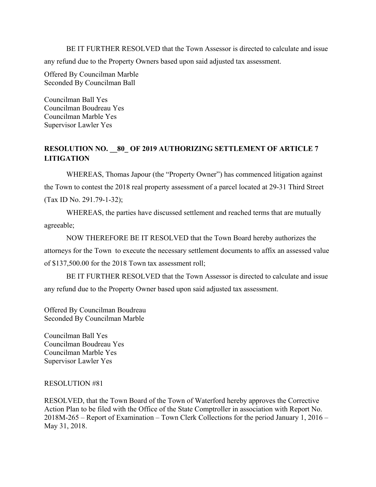BE IT FURTHER RESOLVED that the Town Assessor is directed to calculate and issue any refund due to the Property Owners based upon said adjusted tax assessment.

Offered By Councilman Marble Seconded By Councilman Ball

Councilman Ball Yes Councilman Boudreau Yes Councilman Marble Yes Supervisor Lawler Yes

# **RESOLUTION NO. \_\_80\_ OF 2019 AUTHORIZING SETTLEMENT OF ARTICLE 7 LITIGATION**

WHEREAS, Thomas Japour (the "Property Owner") has commenced litigation against the Town to contest the 2018 real property assessment of a parcel located at 29-31 Third Street (Tax ID No. 291.79-1-32);

 WHEREAS, the parties have discussed settlement and reached terms that are mutually agreeable;

 NOW THEREFORE BE IT RESOLVED that the Town Board hereby authorizes the attorneys for the Town to execute the necessary settlement documents to affix an assessed value of \$137,500.00 for the 2018 Town tax assessment roll;

 BE IT FURTHER RESOLVED that the Town Assessor is directed to calculate and issue any refund due to the Property Owner based upon said adjusted tax assessment.

Offered By Councilman Boudreau Seconded By Councilman Marble

Councilman Ball Yes Councilman Boudreau Yes Councilman Marble Yes Supervisor Lawler Yes

### RESOLUTION #81

RESOLVED, that the Town Board of the Town of Waterford hereby approves the Corrective Action Plan to be filed with the Office of the State Comptroller in association with Report No. 2018M-265 – Report of Examination – Town Clerk Collections for the period January 1, 2016 – May 31, 2018.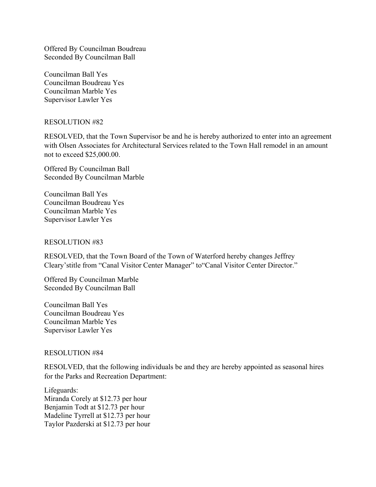Offered By Councilman Boudreau Seconded By Councilman Ball

Councilman Ball Yes Councilman Boudreau Yes Councilman Marble Yes Supervisor Lawler Yes

#### RESOLUTION #82

RESOLVED, that the Town Supervisor be and he is hereby authorized to enter into an agreement with Olsen Associates for Architectural Services related to the Town Hall remodel in an amount not to exceed \$25,000.00.

Offered By Councilman Ball Seconded By Councilman Marble

Councilman Ball Yes Councilman Boudreau Yes Councilman Marble Yes Supervisor Lawler Yes

#### RESOLUTION #83

RESOLVED, that the Town Board of the Town of Waterford hereby changes Jeffrey Cleary'stitle from "Canal Visitor Center Manager" to"Canal Visitor Center Director."

Offered By Councilman Marble Seconded By Councilman Ball

Councilman Ball Yes Councilman Boudreau Yes Councilman Marble Yes Supervisor Lawler Yes

#### RESOLUTION #84

RESOLVED, that the following individuals be and they are hereby appointed as seasonal hires for the Parks and Recreation Department:

Lifeguards: Miranda Corely at \$12.73 per hour Benjamin Todt at \$12.73 per hour Madeline Tyrrell at \$12.73 per hour Taylor Pazderski at \$12.73 per hour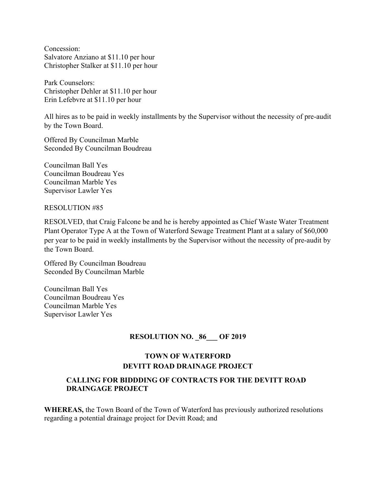Concession: Salvatore Anziano at \$11.10 per hour Christopher Stalker at \$11.10 per hour

Park Counselors: Christopher Dehler at \$11.10 per hour Erin Lefebvre at \$11.10 per hour

All hires as to be paid in weekly installments by the Supervisor without the necessity of pre-audit by the Town Board.

Offered By Councilman Marble Seconded By Councilman Boudreau

Councilman Ball Yes Councilman Boudreau Yes Councilman Marble Yes Supervisor Lawler Yes

### RESOLUTION #85

RESOLVED, that Craig Falcone be and he is hereby appointed as Chief Waste Water Treatment Plant Operator Type A at the Town of Waterford Sewage Treatment Plant at a salary of \$60,000 per year to be paid in weekly installments by the Supervisor without the necessity of pre-audit by the Town Board.

Offered By Councilman Boudreau Seconded By Councilman Marble

Councilman Ball Yes Councilman Boudreau Yes Councilman Marble Yes Supervisor Lawler Yes

# **RESOLUTION NO. 86 OF 2019**

# **TOWN OF WATERFORD DEVITT ROAD DRAINAGE PROJECT**

# **CALLING FOR BIDDDING OF CONTRACTS FOR THE DEVITT ROAD DRAINGAGE PROJECT**

**WHEREAS,** the Town Board of the Town of Waterford has previously authorized resolutions regarding a potential drainage project for Devitt Road; and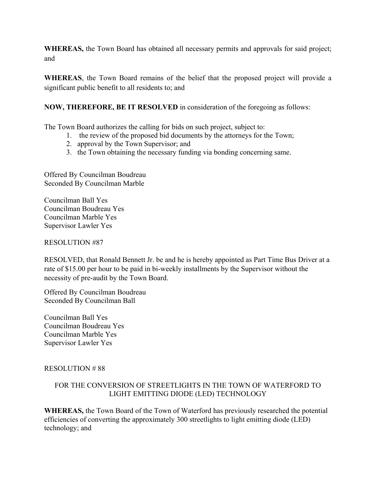**WHEREAS,** the Town Board has obtained all necessary permits and approvals for said project; and

**WHEREAS**, the Town Board remains of the belief that the proposed project will provide a significant public benefit to all residents to; and

# **NOW, THEREFORE, BE IT RESOLVED** in consideration of the foregoing as follows:

The Town Board authorizes the calling for bids on such project, subject to:

- 1. the review of the proposed bid documents by the attorneys for the Town;
- 2. approval by the Town Supervisor; and
- 3. the Town obtaining the necessary funding via bonding concerning same.

Offered By Councilman Boudreau Seconded By Councilman Marble

Councilman Ball Yes Councilman Boudreau Yes Councilman Marble Yes Supervisor Lawler Yes

# RESOLUTION #87

RESOLVED, that Ronald Bennett Jr. be and he is hereby appointed as Part Time Bus Driver at a rate of \$15.00 per hour to be paid in bi-weekly installments by the Supervisor without the necessity of pre-audit by the Town Board.

Offered By Councilman Boudreau Seconded By Councilman Ball

Councilman Ball Yes Councilman Boudreau Yes Councilman Marble Yes Supervisor Lawler Yes

# RESOLUTION # 88

# FOR THE CONVERSION OF STREETLIGHTS IN THE TOWN OF WATERFORD TO LIGHT EMITTING DIODE (LED) TECHNOLOGY

**WHEREAS,** the Town Board of the Town of Waterford has previously researched the potential efficiencies of converting the approximately 300 streetlights to light emitting diode (LED) technology; and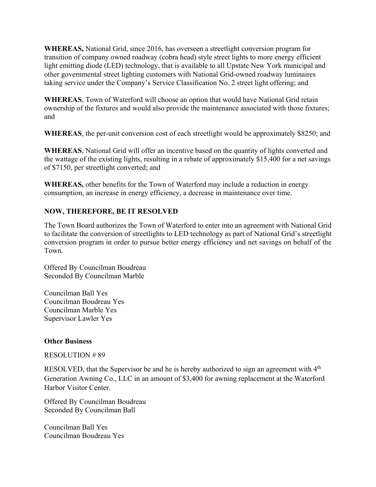**WHEREAS,** National Grid, since 2016, has overseen a streetlight conversion program for transition of company owned roadway (cobra head) style street lights to more energy efficient light emitting diode (LED) technology, that is available to all Upstate New York municipal and other governmental street lighting customers with National Grid-owned roadway luminaires taking service under the Company's Service Classification No. 2 street light offering; and

**WHEREAS**, Town of Waterford will choose an option that would have National Grid retain ownership of the fixtures and would also provide the maintenance associated with those fixtures; and

**WHEREAS**, the per-unit conversion cost of each streetlight would be approximately \$8250; and

**WHEREAS**, National Grid will offer an incentive based on the quantity of lights converted and the wattage of the existing lights, resulting in a rebate of approximately \$15,400 for a net savings of \$7150, per streetlight converted; and

**WHEREAS,** other benefits for the Town of Waterford may include a reduction in energy consumption, an increase in energy efficiency, a decrease in maintenance over time.

# **NOW, THEREFORE, BE IT RESOLVED**

The Town Board authorizes the Town of Waterford to enter into an agreement with National Grid to facilitate the conversion of streetlights to LED technology as part of National Grid's streetlight conversion program in order to pursue better energy efficiency and net savings on behalf of the Town.

Offered By Councilman Boudreau Seconded By Councilman Marble

Councilman Ball Yes Councilman Boudreau Yes Councilman Marble Yes Supervisor Lawler Yes

### **Other Business**

RESOLUTION # 89

RESOLVED, that the Supervisor be and he is hereby authorized to sign an agreement with 4<sup>th</sup> Generation Awning Co., LLC in an amount of \$3,400 for awning replacement at the Waterford Harbor Visitor Center.

Offered By Councilman Boudreau Seconded By Councilman Ball

Councilman Ball Yes Councilman Boudreau Yes